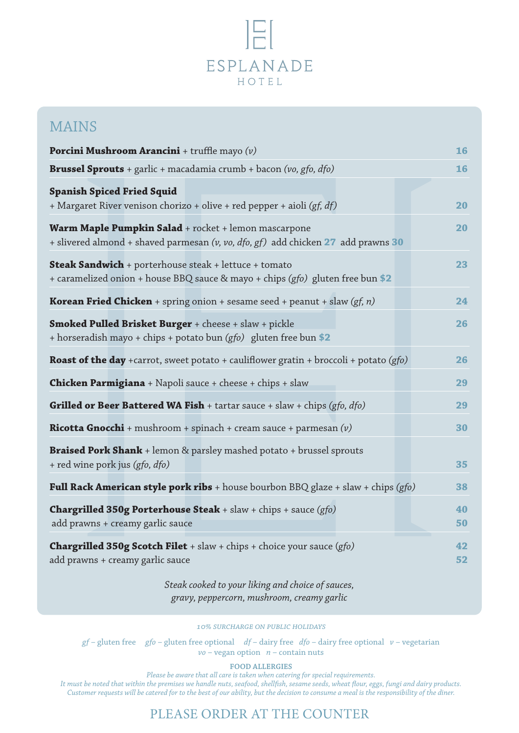## $\mathbb{R}$ ESPLANADE HOTEL

## MAINS

| <b>Porcini Mushroom Arancini</b> + truffle mayo $(v)$                                                                                          | 16       |
|------------------------------------------------------------------------------------------------------------------------------------------------|----------|
| <b>Brussel Sprouts</b> + garlic + macadamia crumb + bacon (vo, gfo, $dfo$ )                                                                    | 16       |
| <b>Spanish Spiced Fried Squid</b><br>+ Margaret River venison chorizo + olive + red pepper + aioli (gf, df)                                    | 20       |
| Warm Maple Pumpkin Salad + rocket + lemon mascarpone<br>+ slivered almond + shaved parmesan (v, vo, dfo, gf) add chicken 27 add prawns 30      | 20       |
| <b>Steak Sandwich</b> + porterhouse steak + lettuce + tomato<br>+ caramelized onion + house BBQ sauce & mayo + chips (gfo) gluten free bun \$2 | 23       |
| <b>Korean Fried Chicken</b> + spring onion + sesame seed + peanut + slaw (gf, n)                                                               | 24       |
| <b>Smoked Pulled Brisket Burger</b> + cheese + slaw + pickle<br>+ horseradish mayo + chips + potato bun (gfo) gluten free bun \$2              | 26       |
| <b>Roast of the day</b> +carrot, sweet potato + cauliflower gratin + broccoli + potato (gfo)                                                   | 26       |
| <b>Chicken Parmigiana</b> + Napoli sauce + cheese + chips + slaw                                                                               | 29       |
| <b>Grilled or Beer Battered WA Fish</b> + tartar sauce + slaw + chips (gfo, $dfo$ )                                                            | 29       |
| <b>Ricotta Gnocchi</b> + mushroom + spinach + cream sauce + parmesan $(v)$                                                                     | 30       |
| Braised Pork Shank + lemon & parsley mashed potato + brussel sprouts<br>+ red wine pork jus (gfo, dfo)                                         | 35       |
| <b>Full Rack American style pork ribs</b> + house bourbon BBQ glaze + slaw + chips (gfo)                                                       | 38       |
| <b>Chargrilled 350g Porterhouse Steak</b> + slaw + chips + sauce $(gfo)$<br>add prawns + creamy garlic sauce                                   | 40<br>50 |
| <b>Chargrilled 350g Scotch Filet</b> + slaw + chips + choice your sauce $(gfo)$<br>add prawns + creamy garlic sauce                            | 42<br>52 |

*Steak cooked to your liking and choice of sauces, gravy, peppercorn, mushroom, creamy garlic*

*10% surcharge on public holidays*

*gf* – gluten free *gfo* – gluten free optional *df* – dairy free *dfo* – dairy free optional *v* – vegetarian *vo* – vegan option *n* – contain nuts

**FOOD ALLERGIES**

*Please be aware that all care is taken when catering for special requirements. It must be noted that within the premises we handle nuts, seafood, shellfish, sesame seeds, wheat flour, eggs, fungi and dairy products. Customer requests will be catered for to the best of our ability, but the decision to consume a meal is the responsibility of the diner.*

## PLEASE ORDER AT THE COUNTER